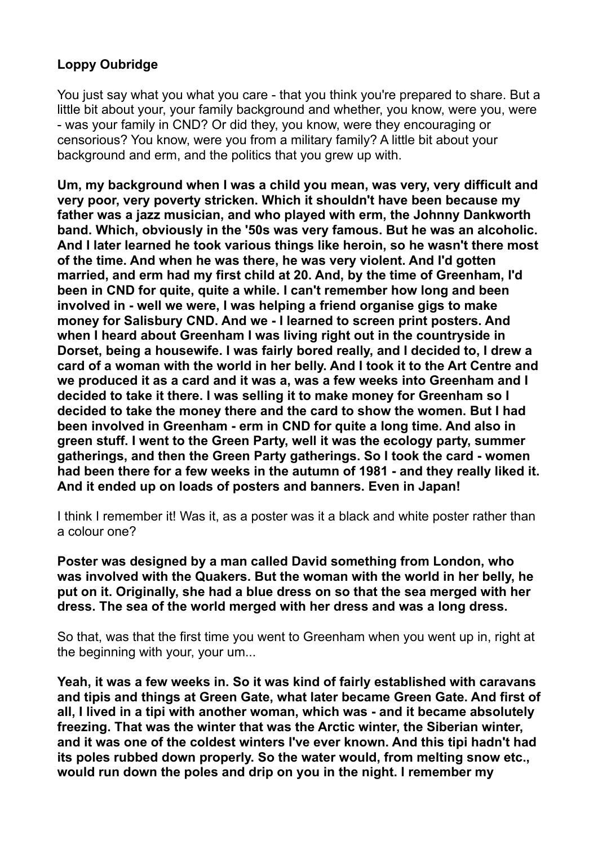# **Loppy Oubridge**

You just say what you what you care - that you think you're prepared to share. But a little bit about your, your family background and whether, you know, were you, were - was your family in CND? Or did they, you know, were they encouraging or censorious? You know, were you from a military family? A little bit about your background and erm, and the politics that you grew up with.

**Um, my background when I was a child you mean, was very, very difficult and very poor, very poverty stricken. Which it shouldn't have been because my father was a jazz musician, and who played with erm, the Johnny Dankworth band. Which, obviously in the '50s was very famous. But he was an alcoholic. And I later learned he took various things like heroin, so he wasn't there most of the time. And when he was there, he was very violent. And I'd gotten married, and erm had my first child at 20. And, by the time of Greenham, I'd been in CND for quite, quite a while. I can't remember how long and been involved in - well we were, I was helping a friend organise gigs to make money for Salisbury CND. And we - I learned to screen print posters. And when I heard about Greenham I was living right out in the countryside in Dorset, being a housewife. I was fairly bored really, and I decided to, I drew a card of a woman with the world in her belly. And I took it to the Art Centre and we produced it as a card and it was a, was a few weeks into Greenham and I decided to take it there. I was selling it to make money for Greenham so I decided to take the money there and the card to show the women. But I had been involved in Greenham - erm in CND for quite a long time. And also in green stuff. I went to the Green Party, well it was the ecology party, summer gatherings, and then the Green Party gatherings. So I took the card - women had been there for a few weeks in the autumn of 1981 - and they really liked it. And it ended up on loads of posters and banners. Even in Japan!** 

I think I remember it! Was it, as a poster was it a black and white poster rather than a colour one?

**Poster was designed by a man called David something from London, who was involved with the Quakers. But the woman with the world in her belly, he put on it. Originally, she had a blue dress on so that the sea merged with her dress. The sea of the world merged with her dress and was a long dress.** 

So that, was that the first time you went to Greenham when you went up in, right at the beginning with your, your um...

**Yeah, it was a few weeks in. So it was kind of fairly established with caravans and tipis and things at Green Gate, what later became Green Gate. And first of all, I lived in a tipi with another woman, which was - and it became absolutely freezing. That was the winter that was the Arctic winter, the Siberian winter, and it was one of the coldest winters I've ever known. And this tipi hadn't had its poles rubbed down properly. So the water would, from melting snow etc., would run down the poles and drip on you in the night. I remember my**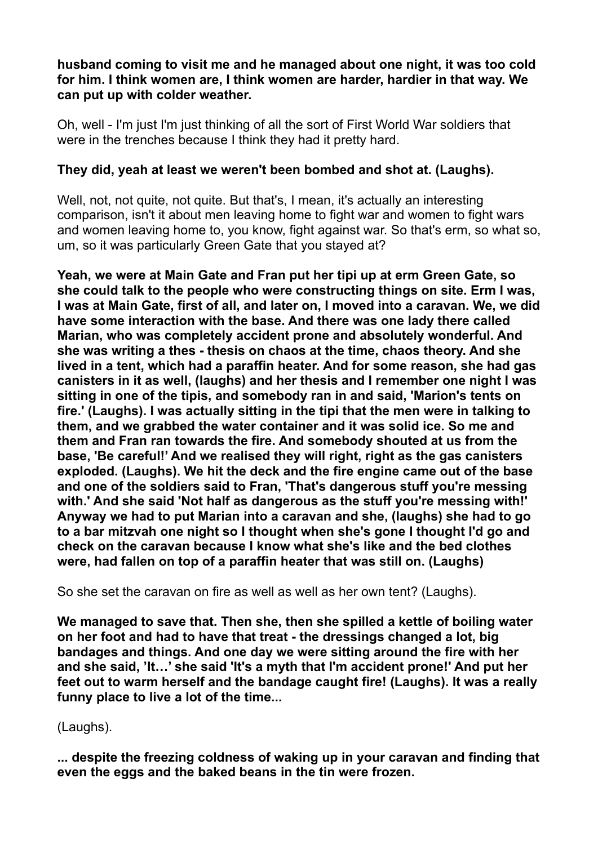**husband coming to visit me and he managed about one night, it was too cold for him. I think women are, I think women are harder, hardier in that way. We can put up with colder weather.** 

Oh, well - I'm just I'm just thinking of all the sort of First World War soldiers that were in the trenches because I think they had it pretty hard.

# **They did, yeah at least we weren't been bombed and shot at. (Laughs).**

Well, not, not quite, not quite. But that's, I mean, it's actually an interesting comparison, isn't it about men leaving home to fight war and women to fight wars and women leaving home to, you know, fight against war. So that's erm, so what so, um, so it was particularly Green Gate that you stayed at?

**Yeah, we were at Main Gate and Fran put her tipi up at erm Green Gate, so she could talk to the people who were constructing things on site. Erm I was, I was at Main Gate, first of all, and later on, I moved into a caravan. We, we did have some interaction with the base. And there was one lady there called Marian, who was completely accident prone and absolutely wonderful. And she was writing a thes - thesis on chaos at the time, chaos theory. And she lived in a tent, which had a paraffin heater. And for some reason, she had gas canisters in it as well, (laughs) and her thesis and I remember one night I was sitting in one of the tipis, and somebody ran in and said, 'Marion's tents on fire.' (Laughs). I was actually sitting in the tipi that the men were in talking to them, and we grabbed the water container and it was solid ice. So me and them and Fran ran towards the fire. And somebody shouted at us from the base, 'Be careful!' And we realised they will right, right as the gas canisters exploded. (Laughs). We hit the deck and the fire engine came out of the base and one of the soldiers said to Fran, 'That's dangerous stuff you're messing with.' And she said 'Not half as dangerous as the stuff you're messing with!' Anyway we had to put Marian into a caravan and she, (laughs) she had to go to a bar mitzvah one night so I thought when she's gone I thought I'd go and check on the caravan because I know what she's like and the bed clothes were, had fallen on top of a paraffin heater that was still on. (Laughs)** 

So she set the caravan on fire as well as well as her own tent? (Laughs).

**We managed to save that. Then she, then she spilled a kettle of boiling water on her foot and had to have that treat - the dressings changed a lot, big bandages and things. And one day we were sitting around the fire with her and she said, 'It…' she said 'It's a myth that I'm accident prone!' And put her feet out to warm herself and the bandage caught fire! (Laughs). It was a really funny place to live a lot of the time...** 

(Laughs).

**... despite the freezing coldness of waking up in your caravan and finding that even the eggs and the baked beans in the tin were frozen.**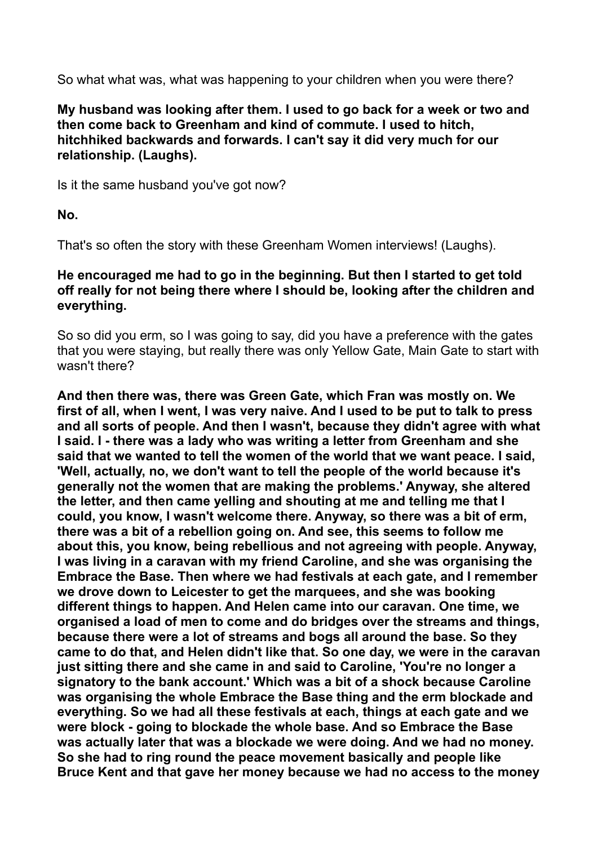So what what was, what was happening to your children when you were there?

**My husband was looking after them. I used to go back for a week or two and then come back to Greenham and kind of commute. I used to hitch, hitchhiked backwards and forwards. I can't say it did very much for our relationship. (Laughs).** 

Is it the same husband you've got now?

**No.** 

That's so often the story with these Greenham Women interviews! (Laughs).

### **He encouraged me had to go in the beginning. But then I started to get told off really for not being there where I should be, looking after the children and everything.**

So so did you erm, so I was going to say, did you have a preference with the gates that you were staying, but really there was only Yellow Gate, Main Gate to start with wasn't there?

**And then there was, there was Green Gate, which Fran was mostly on. We first of all, when I went, I was very naive. And I used to be put to talk to press and all sorts of people. And then I wasn't, because they didn't agree with what I said. I - there was a lady who was writing a letter from Greenham and she said that we wanted to tell the women of the world that we want peace. I said, 'Well, actually, no, we don't want to tell the people of the world because it's generally not the women that are making the problems.' Anyway, she altered the letter, and then came yelling and shouting at me and telling me that I could, you know, I wasn't welcome there. Anyway, so there was a bit of erm, there was a bit of a rebellion going on. And see, this seems to follow me about this, you know, being rebellious and not agreeing with people. Anyway, I was living in a caravan with my friend Caroline, and she was organising the Embrace the Base. Then where we had festivals at each gate, and I remember we drove down to Leicester to get the marquees, and she was booking different things to happen. And Helen came into our caravan. One time, we organised a load of men to come and do bridges over the streams and things, because there were a lot of streams and bogs all around the base. So they came to do that, and Helen didn't like that. So one day, we were in the caravan just sitting there and she came in and said to Caroline, 'You're no longer a signatory to the bank account.' Which was a bit of a shock because Caroline was organising the whole Embrace the Base thing and the erm blockade and everything. So we had all these festivals at each, things at each gate and we were block - going to blockade the whole base. And so Embrace the Base was actually later that was a blockade we were doing. And we had no money. So she had to ring round the peace movement basically and people like Bruce Kent and that gave her money because we had no access to the money**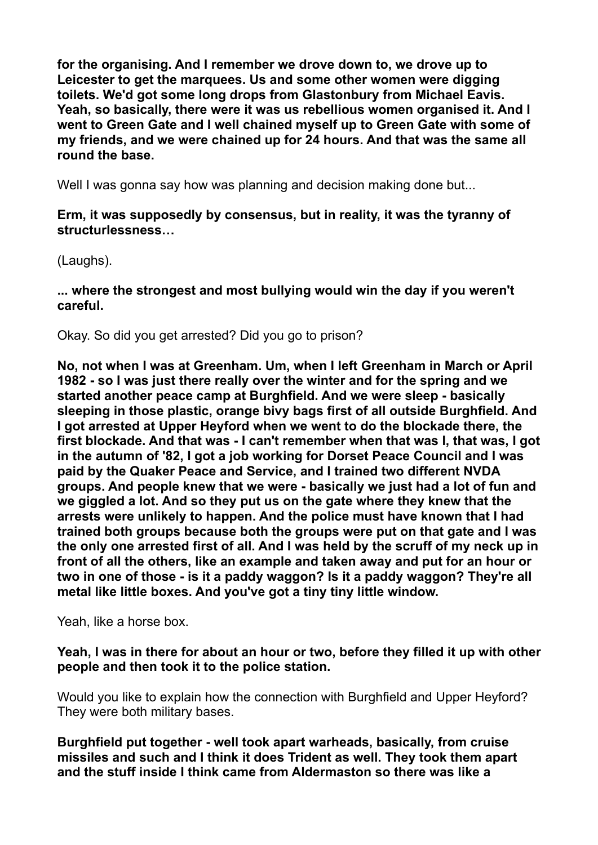**for the organising. And I remember we drove down to, we drove up to Leicester to get the marquees. Us and some other women were digging toilets. We'd got some long drops from Glastonbury from Michael Eavis. Yeah, so basically, there were it was us rebellious women organised it. And I went to Green Gate and I well chained myself up to Green Gate with some of my friends, and we were chained up for 24 hours. And that was the same all round the base.** 

Well I was gonna say how was planning and decision making done but...

### **Erm, it was supposedly by consensus, but in reality, it was the tyranny of structurlessness…**

(Laughs).

**... where the strongest and most bullying would win the day if you weren't careful.** 

Okay. So did you get arrested? Did you go to prison?

**No, not when I was at Greenham. Um, when I left Greenham in March or April 1982 - so I was just there really over the winter and for the spring and we started another peace camp at Burghfield. And we were sleep - basically sleeping in those plastic, orange bivy bags first of all outside Burghfield. And I got arrested at Upper Heyford when we went to do the blockade there, the first blockade. And that was - I can't remember when that was I, that was, I got in the autumn of '82, I got a job working for Dorset Peace Council and I was paid by the Quaker Peace and Service, and I trained two different NVDA groups. And people knew that we were - basically we just had a lot of fun and we giggled a lot. And so they put us on the gate where they knew that the arrests were unlikely to happen. And the police must have known that I had trained both groups because both the groups were put on that gate and I was the only one arrested first of all. And I was held by the scruff of my neck up in front of all the others, like an example and taken away and put for an hour or two in one of those - is it a paddy waggon? Is it a paddy waggon? They're all metal like little boxes. And you've got a tiny tiny little window.** 

Yeah, like a horse box.

**Yeah, I was in there for about an hour or two, before they filled it up with other people and then took it to the police station.** 

Would you like to explain how the connection with Burghfield and Upper Heyford? They were both military bases.

**Burghfield put together - well took apart warheads, basically, from cruise missiles and such and I think it does Trident as well. They took them apart and the stuff inside I think came from Aldermaston so there was like a**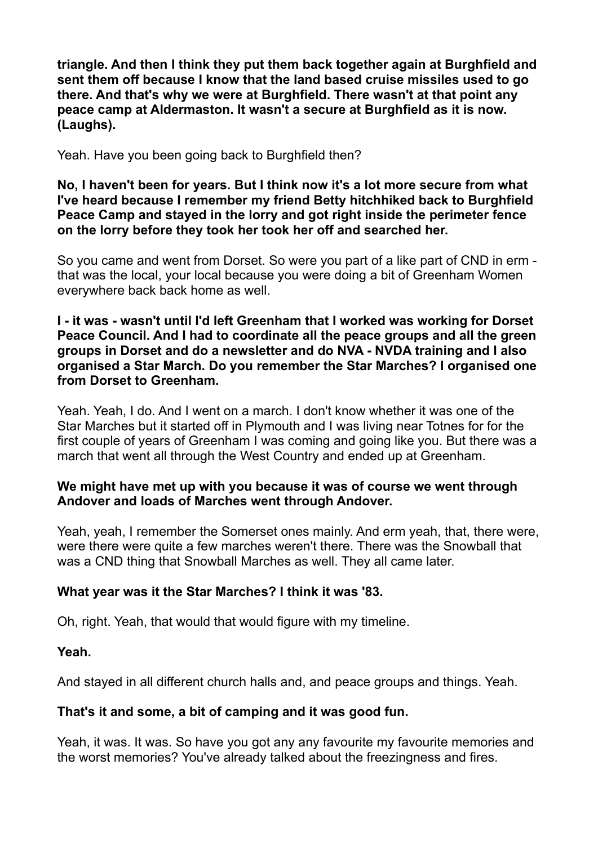**triangle. And then I think they put them back together again at Burghfield and sent them off because I know that the land based cruise missiles used to go there. And that's why we were at Burghfield. There wasn't at that point any peace camp at Aldermaston. It wasn't a secure at Burghfield as it is now. (Laughs).** 

Yeah. Have you been going back to Burghfield then?

**No, I haven't been for years. But I think now it's a lot more secure from what I've heard because I remember my friend Betty hitchhiked back to Burghfield Peace Camp and stayed in the lorry and got right inside the perimeter fence on the lorry before they took her took her off and searched her.** 

So you came and went from Dorset. So were you part of a like part of CND in erm that was the local, your local because you were doing a bit of Greenham Women everywhere back back home as well.

**I - it was - wasn't until I'd left Greenham that I worked was working for Dorset Peace Council. And I had to coordinate all the peace groups and all the green groups in Dorset and do a newsletter and do NVA - NVDA training and I also organised a Star March. Do you remember the Star Marches? I organised one from Dorset to Greenham.** 

Yeah. Yeah, I do. And I went on a march. I don't know whether it was one of the Star Marches but it started off in Plymouth and I was living near Totnes for for the first couple of years of Greenham I was coming and going like you. But there was a march that went all through the West Country and ended up at Greenham.

# **We might have met up with you because it was of course we went through Andover and loads of Marches went through Andover.**

Yeah, yeah, I remember the Somerset ones mainly. And erm yeah, that, there were, were there were quite a few marches weren't there. There was the Snowball that was a CND thing that Snowball Marches as well. They all came later.

# **What year was it the Star Marches? I think it was '83.**

Oh, right. Yeah, that would that would figure with my timeline.

# **Yeah.**

And stayed in all different church halls and, and peace groups and things. Yeah.

# **That's it and some, a bit of camping and it was good fun.**

Yeah, it was. It was. So have you got any any favourite my favourite memories and the worst memories? You've already talked about the freezingness and fires.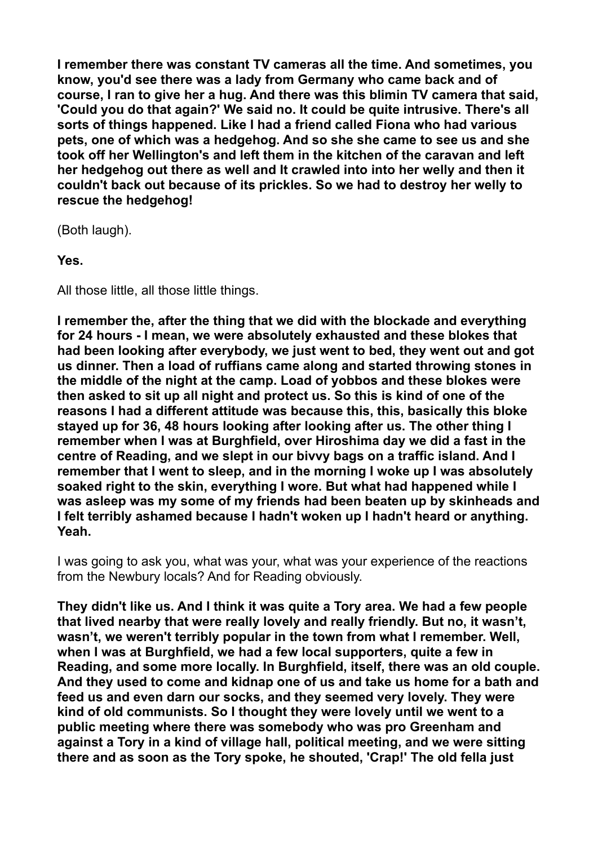**I remember there was constant TV cameras all the time. And sometimes, you know, you'd see there was a lady from Germany who came back and of course, I ran to give her a hug. And there was this blimin TV camera that said, 'Could you do that again?' We said no. It could be quite intrusive. There's all sorts of things happened. Like I had a friend called Fiona who had various pets, one of which was a hedgehog. And so she she came to see us and she took off her Wellington's and left them in the kitchen of the caravan and left her hedgehog out there as well and It crawled into into her welly and then it couldn't back out because of its prickles. So we had to destroy her welly to rescue the hedgehog!** 

(Both laugh).

**Yes.** 

All those little, all those little things.

**I remember the, after the thing that we did with the blockade and everything for 24 hours - I mean, we were absolutely exhausted and these blokes that had been looking after everybody, we just went to bed, they went out and got us dinner. Then a load of ruffians came along and started throwing stones in the middle of the night at the camp. Load of yobbos and these blokes were then asked to sit up all night and protect us. So this is kind of one of the reasons I had a different attitude was because this, this, basically this bloke stayed up for 36, 48 hours looking after looking after us. The other thing I remember when I was at Burghfield, over Hiroshima day we did a fast in the centre of Reading, and we slept in our bivvy bags on a traffic island. And I remember that I went to sleep, and in the morning I woke up I was absolutely soaked right to the skin, everything I wore. But what had happened while I was asleep was my some of my friends had been beaten up by skinheads and I felt terribly ashamed because I hadn't woken up I hadn't heard or anything. Yeah.** 

I was going to ask you, what was your, what was your experience of the reactions from the Newbury locals? And for Reading obviously.

**They didn't like us. And I think it was quite a Tory area. We had a few people that lived nearby that were really lovely and really friendly. But no, it wasn't, wasn't, we weren't terribly popular in the town from what I remember. Well, when I was at Burghfield, we had a few local supporters, quite a few in Reading, and some more locally. In Burghfield, itself, there was an old couple. And they used to come and kidnap one of us and take us home for a bath and feed us and even darn our socks, and they seemed very lovely. They were kind of old communists. So I thought they were lovely until we went to a public meeting where there was somebody who was pro Greenham and against a Tory in a kind of village hall, political meeting, and we were sitting there and as soon as the Tory spoke, he shouted, 'Crap!' The old fella just**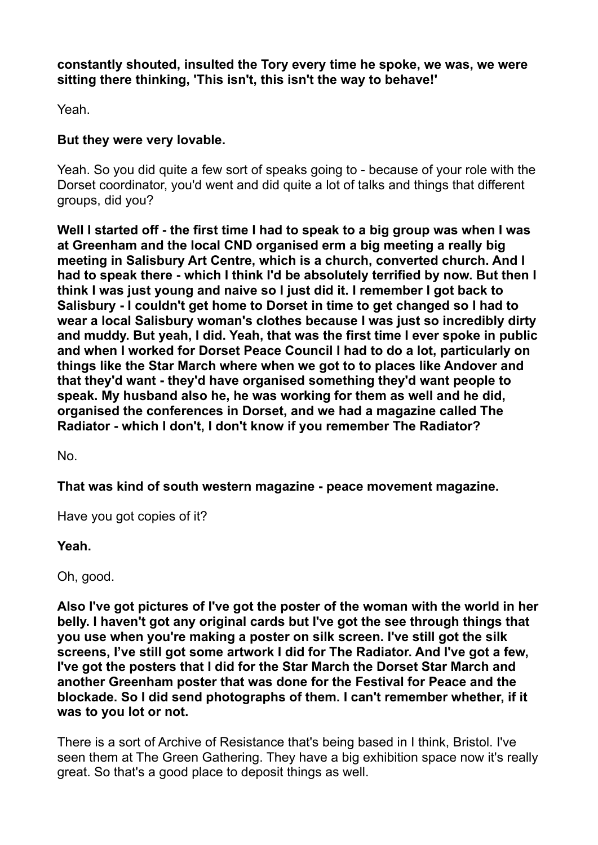**constantly shouted, insulted the Tory every time he spoke, we was, we were sitting there thinking, 'This isn't, this isn't the way to behave!'** 

Yeah.

# **But they were very lovable.**

Yeah. So you did quite a few sort of speaks going to - because of your role with the Dorset coordinator, you'd went and did quite a lot of talks and things that different groups, did you?

**Well I started off - the first time I had to speak to a big group was when I was at Greenham and the local CND organised erm a big meeting a really big meeting in Salisbury Art Centre, which is a church, converted church. And I had to speak there - which I think I'd be absolutely terrified by now. But then I think I was just young and naive so I just did it. I remember I got back to Salisbury - I couldn't get home to Dorset in time to get changed so I had to wear a local Salisbury woman's clothes because I was just so incredibly dirty and muddy. But yeah, I did. Yeah, that was the first time I ever spoke in public and when I worked for Dorset Peace Council I had to do a lot, particularly on things like the Star March where when we got to to places like Andover and that they'd want - they'd have organised something they'd want people to speak. My husband also he, he was working for them as well and he did, organised the conferences in Dorset, and we had a magazine called The Radiator - which I don't, I don't know if you remember The Radiator?** 

No.

**That was kind of south western magazine - peace movement magazine.** 

Have you got copies of it?

**Yeah.** 

Oh, good.

**Also I've got pictures of I've got the poster of the woman with the world in her belly. I haven't got any original cards but I've got the see through things that you use when you're making a poster on silk screen. I've still got the silk screens, I've still got some artwork I did for The Radiator. And I've got a few, I've got the posters that I did for the Star March the Dorset Star March and another Greenham poster that was done for the Festival for Peace and the blockade. So I did send photographs of them. I can't remember whether, if it was to you lot or not.** 

There is a sort of Archive of Resistance that's being based in I think, Bristol. I've seen them at The Green Gathering. They have a big exhibition space now it's really great. So that's a good place to deposit things as well.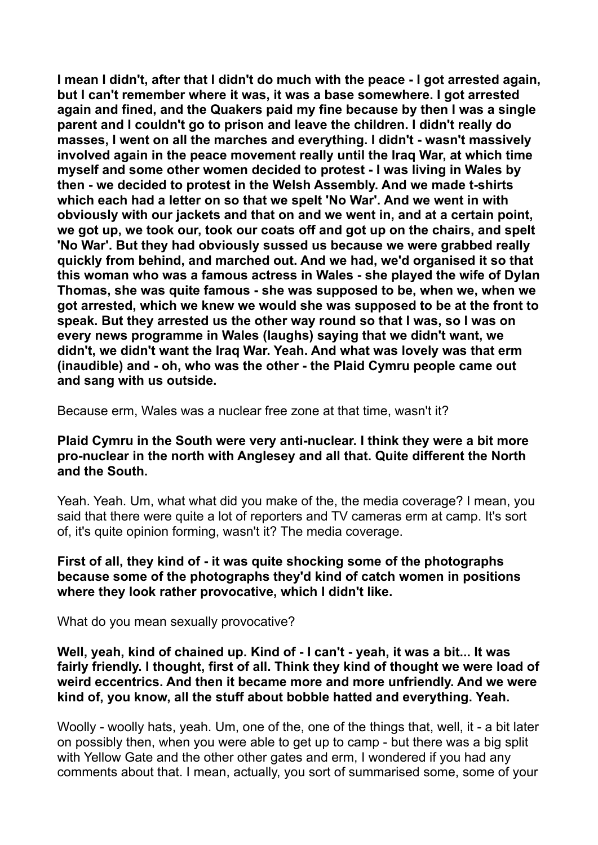**I mean I didn't, after that I didn't do much with the peace - I got arrested again, but I can't remember where it was, it was a base somewhere. I got arrested again and fined, and the Quakers paid my fine because by then I was a single parent and I couldn't go to prison and leave the children. I didn't really do masses, I went on all the marches and everything. I didn't - wasn't massively involved again in the peace movement really until the Iraq War, at which time myself and some other women decided to protest - I was living in Wales by then - we decided to protest in the Welsh Assembly. And we made t-shirts which each had a letter on so that we spelt 'No War'. And we went in with obviously with our jackets and that on and we went in, and at a certain point, we got up, we took our, took our coats off and got up on the chairs, and spelt 'No War'. But they had obviously sussed us because we were grabbed really quickly from behind, and marched out. And we had, we'd organised it so that this woman who was a famous actress in Wales - she played the wife of Dylan Thomas, she was quite famous - she was supposed to be, when we, when we got arrested, which we knew we would she was supposed to be at the front to speak. But they arrested us the other way round so that I was, so I was on every news programme in Wales (laughs) saying that we didn't want, we didn't, we didn't want the Iraq War. Yeah. And what was lovely was that erm (inaudible) and - oh, who was the other - the Plaid Cymru people came out and sang with us outside.** 

Because erm, Wales was a nuclear free zone at that time, wasn't it?

#### **Plaid Cymru in the South were very anti-nuclear. I think they were a bit more pro-nuclear in the north with Anglesey and all that. Quite different the North and the South.**

Yeah. Yeah. Um, what what did you make of the, the media coverage? I mean, you said that there were quite a lot of reporters and TV cameras erm at camp. It's sort of, it's quite opinion forming, wasn't it? The media coverage.

#### **First of all, they kind of - it was quite shocking some of the photographs because some of the photographs they'd kind of catch women in positions where they look rather provocative, which I didn't like.**

What do you mean sexually provocative?

**Well, yeah, kind of chained up. Kind of - I can't - yeah, it was a bit... It was fairly friendly. I thought, first of all. Think they kind of thought we were load of weird eccentrics. And then it became more and more unfriendly. And we were kind of, you know, all the stuff about bobble hatted and everything. Yeah.** 

Woolly - woolly hats, yeah. Um, one of the, one of the things that, well, it - a bit later on possibly then, when you were able to get up to camp - but there was a big split with Yellow Gate and the other other gates and erm, I wondered if you had any comments about that. I mean, actually, you sort of summarised some, some of your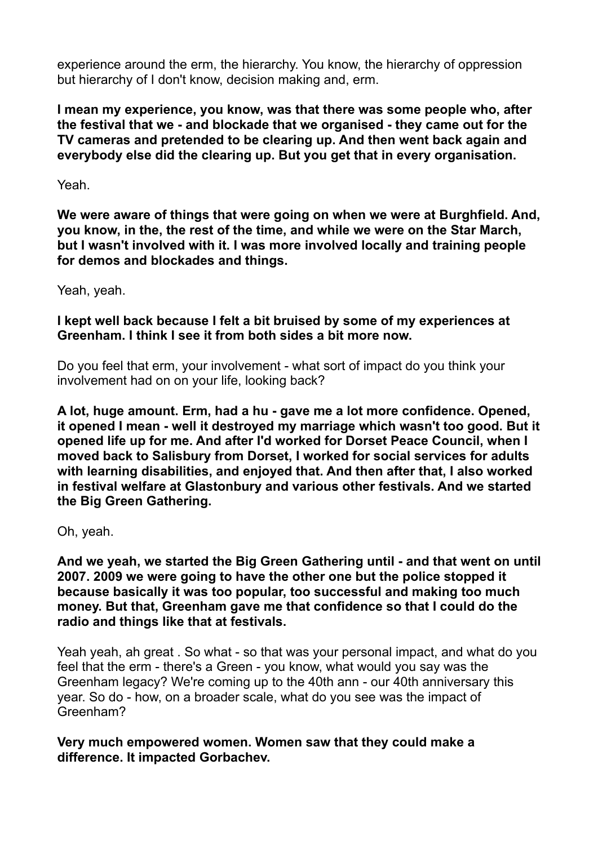experience around the erm, the hierarchy. You know, the hierarchy of oppression but hierarchy of I don't know, decision making and, erm.

**I mean my experience, you know, was that there was some people who, after the festival that we - and blockade that we organised - they came out for the TV cameras and pretended to be clearing up. And then went back again and everybody else did the clearing up. But you get that in every organisation.** 

Yeah.

**We were aware of things that were going on when we were at Burghfield. And, you know, in the, the rest of the time, and while we were on the Star March, but I wasn't involved with it. I was more involved locally and training people for demos and blockades and things.** 

Yeah, yeah.

**I kept well back because I felt a bit bruised by some of my experiences at Greenham. I think I see it from both sides a bit more now.** 

Do you feel that erm, your involvement - what sort of impact do you think your involvement had on on your life, looking back?

**A lot, huge amount. Erm, had a hu - gave me a lot more confidence. Opened, it opened I mean - well it destroyed my marriage which wasn't too good. But it opened life up for me. And after I'd worked for Dorset Peace Council, when I moved back to Salisbury from Dorset, I worked for social services for adults with learning disabilities, and enjoyed that. And then after that, I also worked in festival welfare at Glastonbury and various other festivals. And we started the Big Green Gathering.** 

Oh, yeah.

**And we yeah, we started the Big Green Gathering until - and that went on until 2007. 2009 we were going to have the other one but the police stopped it because basically it was too popular, too successful and making too much money. But that, Greenham gave me that confidence so that I could do the radio and things like that at festivals.** 

Yeah yeah, ah great . So what - so that was your personal impact, and what do you feel that the erm - there's a Green - you know, what would you say was the Greenham legacy? We're coming up to the 40th ann - our 40th anniversary this year. So do - how, on a broader scale, what do you see was the impact of Greenham?

**Very much empowered women. Women saw that they could make a difference. It impacted Gorbachev.**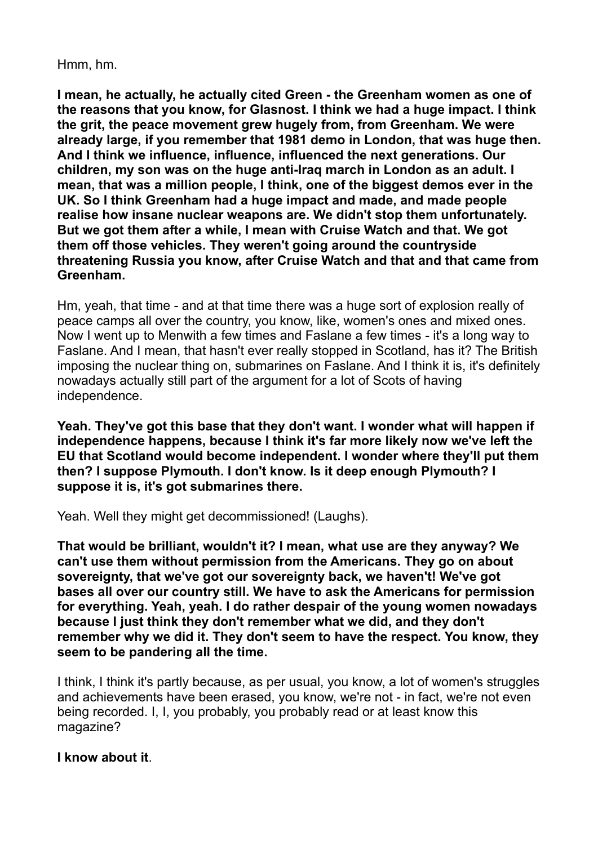#### Hmm, hm.

**I mean, he actually, he actually cited Green - the Greenham women as one of the reasons that you know, for Glasnost. I think we had a huge impact. I think the grit, the peace movement grew hugely from, from Greenham. We were already large, if you remember that 1981 demo in London, that was huge then. And I think we influence, influence, influenced the next generations. Our children, my son was on the huge anti-Iraq march in London as an adult. I mean, that was a million people, I think, one of the biggest demos ever in the UK. So I think Greenham had a huge impact and made, and made people realise how insane nuclear weapons are. We didn't stop them unfortunately. But we got them after a while, I mean with Cruise Watch and that. We got them off those vehicles. They weren't going around the countryside threatening Russia you know, after Cruise Watch and that and that came from Greenham.** 

Hm, yeah, that time - and at that time there was a huge sort of explosion really of peace camps all over the country, you know, like, women's ones and mixed ones. Now I went up to Menwith a few times and Faslane a few times - it's a long way to Faslane. And I mean, that hasn't ever really stopped in Scotland, has it? The British imposing the nuclear thing on, submarines on Faslane. And I think it is, it's definitely nowadays actually still part of the argument for a lot of Scots of having independence.

**Yeah. They've got this base that they don't want. I wonder what will happen if independence happens, because I think it's far more likely now we've left the EU that Scotland would become independent. I wonder where they'll put them then? I suppose Plymouth. I don't know. Is it deep enough Plymouth? I suppose it is, it's got submarines there.** 

Yeah. Well they might get decommissioned! (Laughs).

**That would be brilliant, wouldn't it? I mean, what use are they anyway? We can't use them without permission from the Americans. They go on about sovereignty, that we've got our sovereignty back, we haven't! We've got bases all over our country still. We have to ask the Americans for permission for everything. Yeah, yeah. I do rather despair of the young women nowadays because I just think they don't remember what we did, and they don't remember why we did it. They don't seem to have the respect. You know, they seem to be pandering all the time.** 

I think, I think it's partly because, as per usual, you know, a lot of women's struggles and achievements have been erased, you know, we're not - in fact, we're not even being recorded. I, I, you probably, you probably read or at least know this magazine?

#### **I know about it**.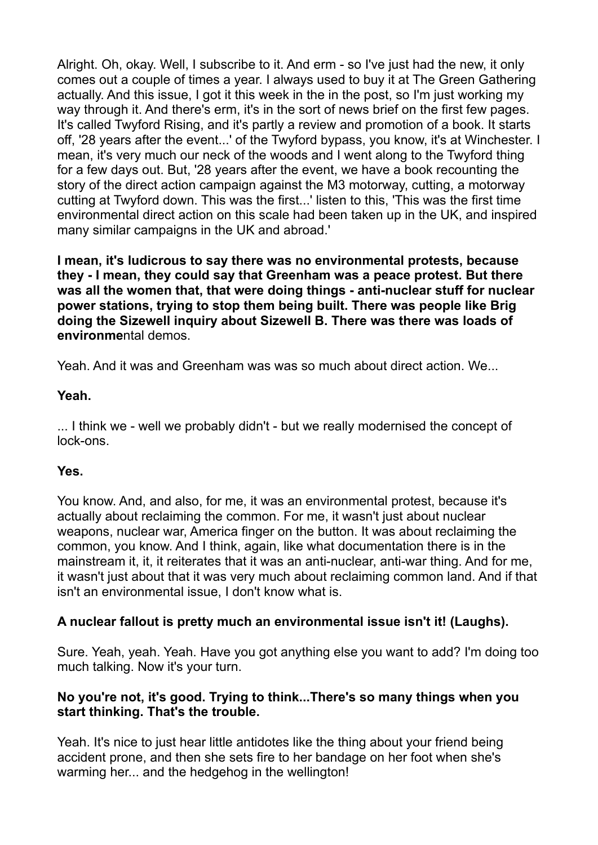Alright. Oh, okay. Well, I subscribe to it. And erm - so I've just had the new, it only comes out a couple of times a year. I always used to buy it at The Green Gathering actually. And this issue, I got it this week in the in the post, so I'm just working my way through it. And there's erm, it's in the sort of news brief on the first few pages. It's called Twyford Rising, and it's partly a review and promotion of a book. It starts off, '28 years after the event...' of the Twyford bypass, you know, it's at Winchester. I mean, it's very much our neck of the woods and I went along to the Twyford thing for a few days out. But, '28 years after the event, we have a book recounting the story of the direct action campaign against the M3 motorway, cutting, a motorway cutting at Twyford down. This was the first...' listen to this, 'This was the first time environmental direct action on this scale had been taken up in the UK, and inspired many similar campaigns in the UK and abroad.'

**I mean, it's ludicrous to say there was no environmental protests, because they - I mean, they could say that Greenham was a peace protest. But there was all the women that, that were doing things - anti-nuclear stuff for nuclear power stations, trying to stop them being built. There was people like Brig doing the Sizewell inquiry about Sizewell B. There was there was loads of environme**ntal demos.

Yeah. And it was and Greenham was was so much about direct action. We...

#### **Yeah.**

... I think we - well we probably didn't - but we really modernised the concept of lock-ons.

# **Yes.**

You know. And, and also, for me, it was an environmental protest, because it's actually about reclaiming the common. For me, it wasn't just about nuclear weapons, nuclear war, America finger on the button. It was about reclaiming the common, you know. And I think, again, like what documentation there is in the mainstream it, it, it reiterates that it was an anti-nuclear, anti-war thing. And for me, it wasn't just about that it was very much about reclaiming common land. And if that isn't an environmental issue, I don't know what is.

# **A nuclear fallout is pretty much an environmental issue isn't it! (Laughs).**

Sure. Yeah, yeah. Yeah. Have you got anything else you want to add? I'm doing too much talking. Now it's your turn.

#### **No you're not, it's good. Trying to think...There's so many things when you start thinking. That's the trouble.**

Yeah. It's nice to just hear little antidotes like the thing about your friend being accident prone, and then she sets fire to her bandage on her foot when she's warming her... and the hedgehog in the wellington!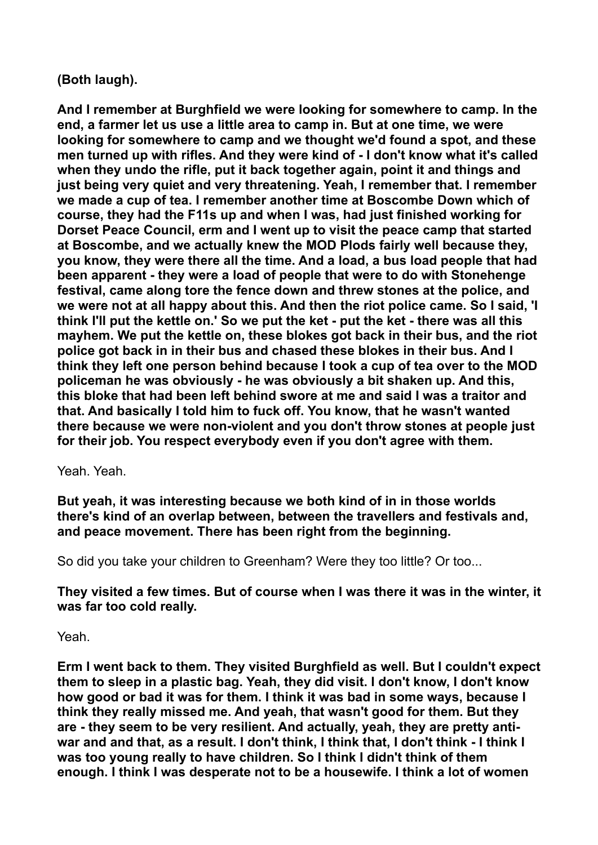# **(Both laugh).**

**And I remember at Burghfield we were looking for somewhere to camp. In the end, a farmer let us use a little area to camp in. But at one time, we were looking for somewhere to camp and we thought we'd found a spot, and these men turned up with rifles. And they were kind of - I don't know what it's called when they undo the rifle, put it back together again, point it and things and just being very quiet and very threatening. Yeah, I remember that. I remember we made a cup of tea. I remember another time at Boscombe Down which of course, they had the F11s up and when I was, had just finished working for Dorset Peace Council, erm and I went up to visit the peace camp that started at Boscombe, and we actually knew the MOD Plods fairly well because they, you know, they were there all the time. And a load, a bus load people that had been apparent - they were a load of people that were to do with Stonehenge festival, came along tore the fence down and threw stones at the police, and we were not at all happy about this. And then the riot police came. So I said, 'I think I'll put the kettle on.' So we put the ket - put the ket - there was all this mayhem. We put the kettle on, these blokes got back in their bus, and the riot police got back in in their bus and chased these blokes in their bus. And I think they left one person behind because I took a cup of tea over to the MOD policeman he was obviously - he was obviously a bit shaken up. And this, this bloke that had been left behind swore at me and said I was a traitor and that. And basically I told him to fuck off. You know, that he wasn't wanted there because we were non-violent and you don't throw stones at people just for their job. You respect everybody even if you don't agree with them.** 

Yeah. Yeah.

**But yeah, it was interesting because we both kind of in in those worlds there's kind of an overlap between, between the travellers and festivals and, and peace movement. There has been right from the beginning.** 

So did you take your children to Greenham? Were they too little? Or too...

**They visited a few times. But of course when I was there it was in the winter, it was far too cold really.** 

Yeah.

**Erm I went back to them. They visited Burghfield as well. But I couldn't expect them to sleep in a plastic bag. Yeah, they did visit. I don't know, I don't know how good or bad it was for them. I think it was bad in some ways, because I think they really missed me. And yeah, that wasn't good for them. But they are - they seem to be very resilient. And actually, yeah, they are pretty antiwar and and that, as a result. I don't think, I think that, I don't think - I think I was too young really to have children. So I think I didn't think of them enough. I think I was desperate not to be a housewife. I think a lot of women**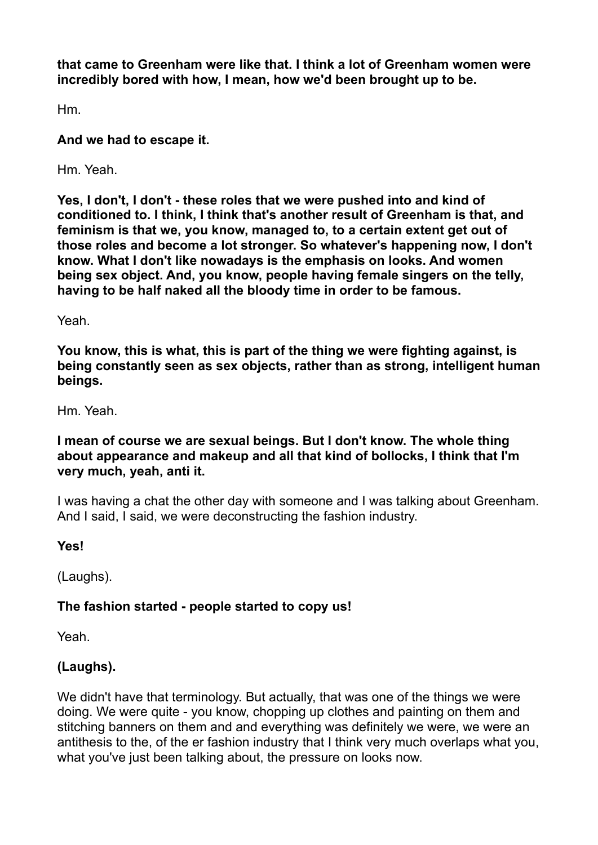**that came to Greenham were like that. I think a lot of Greenham women were incredibly bored with how, I mean, how we'd been brought up to be.** 

Hm.

**And we had to escape it.** 

Hm. Yeah.

**Yes, I don't, I don't - these roles that we were pushed into and kind of conditioned to. I think, I think that's another result of Greenham is that, and feminism is that we, you know, managed to, to a certain extent get out of those roles and become a lot stronger. So whatever's happening now, I don't know. What I don't like nowadays is the emphasis on looks. And women being sex object. And, you know, people having female singers on the telly, having to be half naked all the bloody time in order to be famous.** 

Yeah.

**You know, this is what, this is part of the thing we were fighting against, is being constantly seen as sex objects, rather than as strong, intelligent human beings.** 

Hm. Yeah.

# **I mean of course we are sexual beings. But I don't know. The whole thing about appearance and makeup and all that kind of bollocks, I think that I'm very much, yeah, anti it.**

I was having a chat the other day with someone and I was talking about Greenham. And I said, I said, we were deconstructing the fashion industry.

**Yes!** 

(Laughs).

# **The fashion started - people started to copy us!**

Yeah.

# **(Laughs).**

We didn't have that terminology. But actually, that was one of the things we were doing. We were quite - you know, chopping up clothes and painting on them and stitching banners on them and and everything was definitely we were, we were an antithesis to the, of the er fashion industry that I think very much overlaps what you, what you've just been talking about, the pressure on looks now.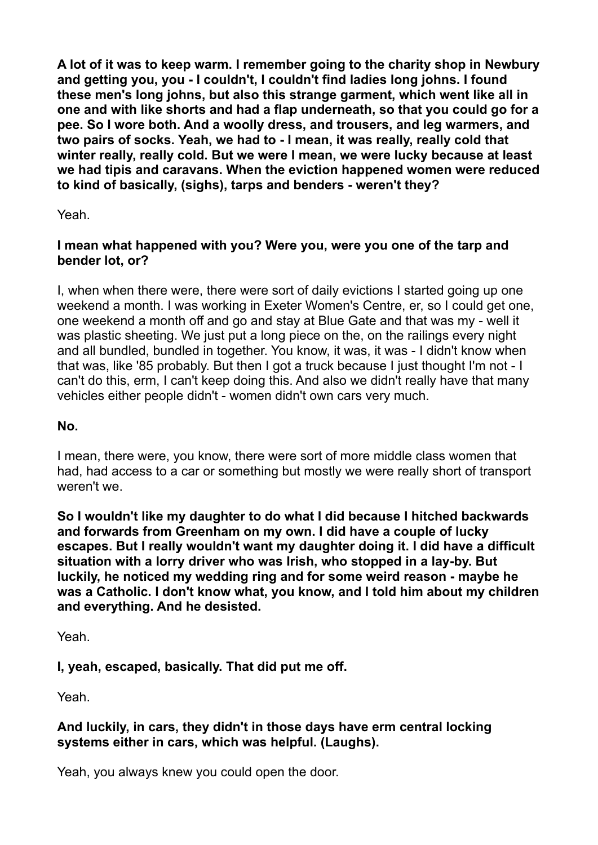**A lot of it was to keep warm. I remember going to the charity shop in Newbury and getting you, you - I couldn't, I couldn't find ladies long johns. I found these men's long johns, but also this strange garment, which went like all in one and with like shorts and had a flap underneath, so that you could go for a pee. So I wore both. And a woolly dress, and trousers, and leg warmers, and two pairs of socks. Yeah, we had to - I mean, it was really, really cold that winter really, really cold. But we were I mean, we were lucky because at least we had tipis and caravans. When the eviction happened women were reduced to kind of basically, (sighs), tarps and benders - weren't they?** 

Yeah.

#### **I mean what happened with you? Were you, were you one of the tarp and bender lot, or?**

I, when when there were, there were sort of daily evictions I started going up one weekend a month. I was working in Exeter Women's Centre, er, so I could get one, one weekend a month off and go and stay at Blue Gate and that was my - well it was plastic sheeting. We just put a long piece on the, on the railings every night and all bundled, bundled in together. You know, it was, it was - I didn't know when that was, like '85 probably. But then I got a truck because I just thought I'm not - I can't do this, erm, I can't keep doing this. And also we didn't really have that many vehicles either people didn't - women didn't own cars very much.

**No.** 

I mean, there were, you know, there were sort of more middle class women that had, had access to a car or something but mostly we were really short of transport weren't we.

**So I wouldn't like my daughter to do what I did because I hitched backwards and forwards from Greenham on my own. I did have a couple of lucky escapes. But I really wouldn't want my daughter doing it. I did have a difficult situation with a lorry driver who was Irish, who stopped in a lay-by. But luckily, he noticed my wedding ring and for some weird reason - maybe he was a Catholic. I don't know what, you know, and I told him about my children and everything. And he desisted.** 

Yeah.

**I, yeah, escaped, basically. That did put me off.** 

Yeah.

# **And luckily, in cars, they didn't in those days have erm central locking systems either in cars, which was helpful. (Laughs).**

Yeah, you always knew you could open the door.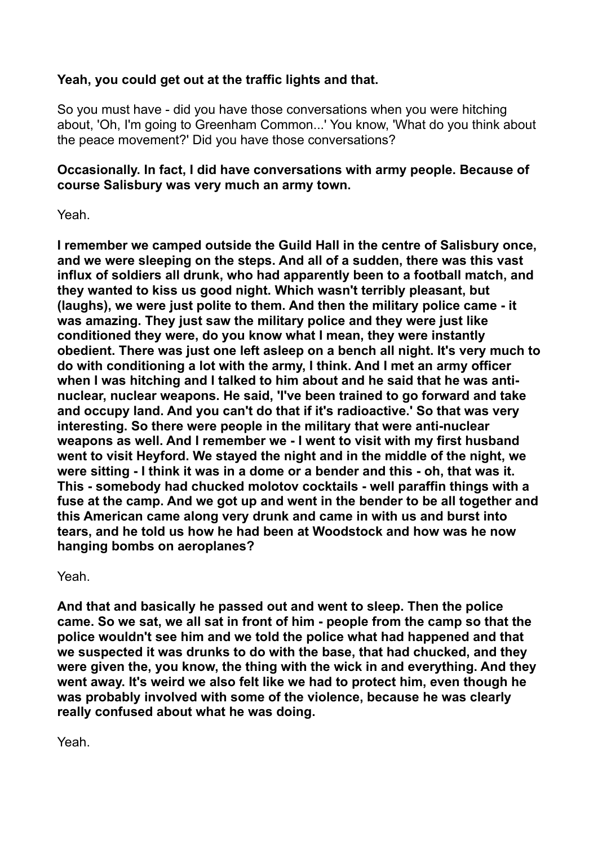# **Yeah, you could get out at the traffic lights and that.**

So you must have - did you have those conversations when you were hitching about, 'Oh, I'm going to Greenham Common...' You know, 'What do you think about the peace movement?' Did you have those conversations?

# **Occasionally. In fact, I did have conversations with army people. Because of course Salisbury was very much an army town.**

Yeah.

**I remember we camped outside the Guild Hall in the centre of Salisbury once, and we were sleeping on the steps. And all of a sudden, there was this vast influx of soldiers all drunk, who had apparently been to a football match, and they wanted to kiss us good night. Which wasn't terribly pleasant, but (laughs), we were just polite to them. And then the military police came - it was amazing. They just saw the military police and they were just like conditioned they were, do you know what I mean, they were instantly obedient. There was just one left asleep on a bench all night. It's very much to do with conditioning a lot with the army, I think. And I met an army officer when I was hitching and I talked to him about and he said that he was antinuclear, nuclear weapons. He said, 'I've been trained to go forward and take and occupy land. And you can't do that if it's radioactive.' So that was very interesting. So there were people in the military that were anti-nuclear weapons as well. And I remember we - I went to visit with my first husband went to visit Heyford. We stayed the night and in the middle of the night, we were sitting - I think it was in a dome or a bender and this - oh, that was it. This - somebody had chucked molotov cocktails - well paraffin things with a fuse at the camp. And we got up and went in the bender to be all together and this American came along very drunk and came in with us and burst into tears, and he told us how he had been at Woodstock and how was he now hanging bombs on aeroplanes?** 

Yeah.

**And that and basically he passed out and went to sleep. Then the police came. So we sat, we all sat in front of him - people from the camp so that the police wouldn't see him and we told the police what had happened and that we suspected it was drunks to do with the base, that had chucked, and they were given the, you know, the thing with the wick in and everything. And they**  went away. It's weird we also felt like we had to protect him, even though he **was probably involved with some of the violence, because he was clearly really confused about what he was doing.** 

Yeah.